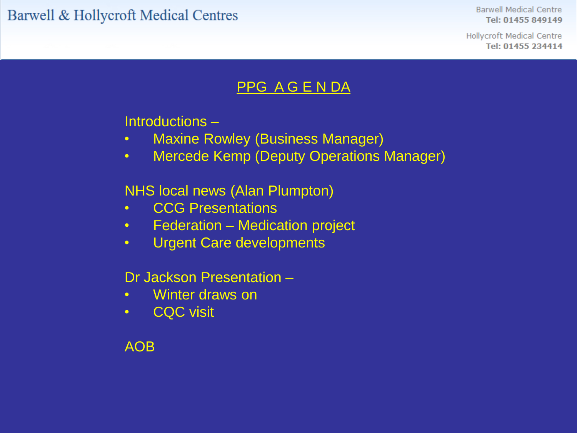Barwell & Hollycroft Medical Centres

**Barwell Medical Centre** Tel: 01455 849149

**Hollycroft Medical Centre** Tel: 01455 234414

#### PPG A G E N DA

Introductions –

- Maxine Rowley (Business Manager)
- Mercede Kemp (Deputy Operations Manager)

NHS local news (Alan Plumpton)

- CCG Presentations
- Federation Medication project
- Urgent Care developments

Dr Jackson Presentation –

- Winter draws on
- CQC visit

AOB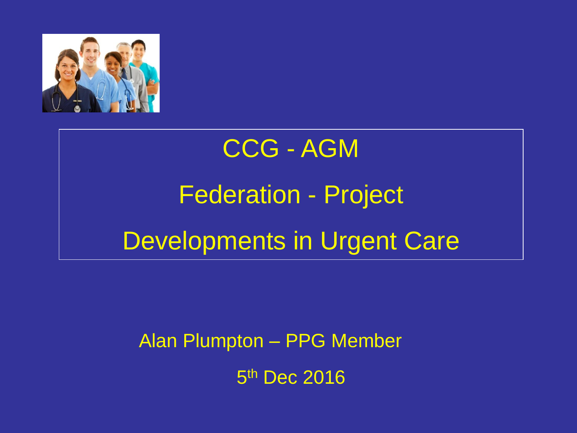

# CCG - AGM Federation - Project Developments in Urgent Care

Alan Plumpton – PPG Member

5<sup>th</sup> Dec 2016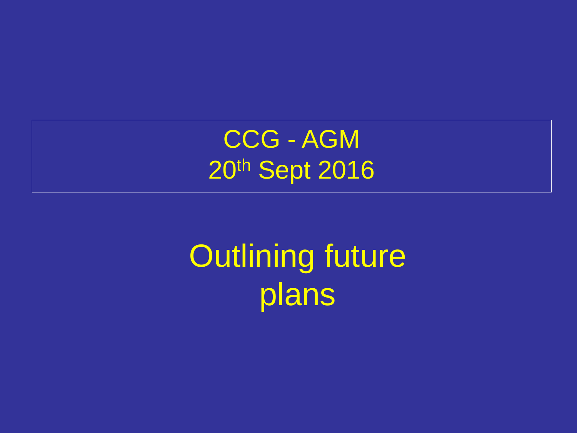CCG - AGM 20th Sept 2016

Outlining future plans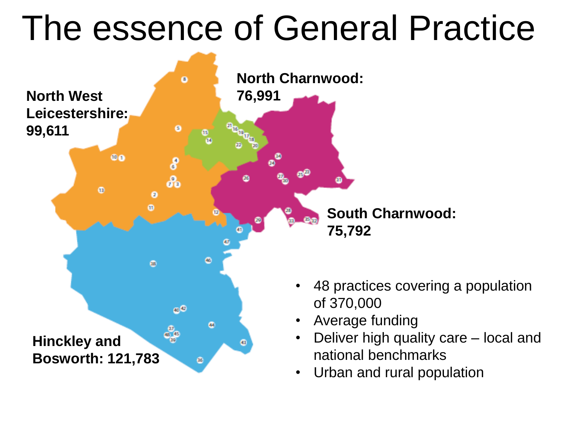## The essence of General Practice

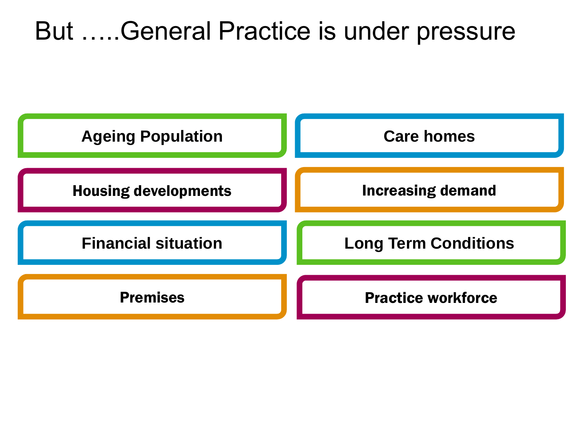### But …..General Practice is under pressure

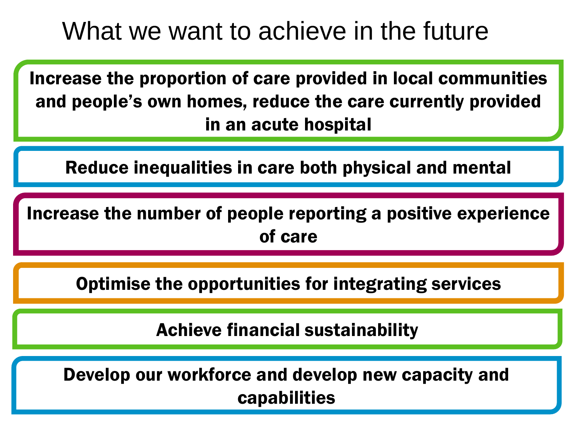### What we want to achieve in the future

Increase the proportion of care provided in local communities and people's own homes, reduce the care currently provided in an acute hospital

Reduce inequalities in care both physical and mental

Increase the number of people reporting a positive experience of care

Optimise the opportunities for integrating services

Achieve financial sustainability

Develop our workforce and develop new capacity and capabilities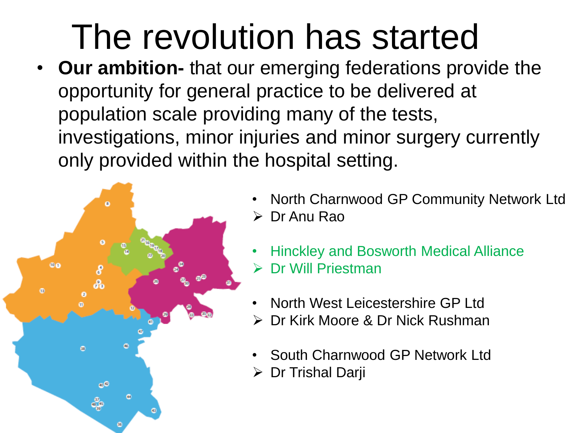# The revolution has started

• **Our ambition-** that our emerging federations provide the opportunity for general practice to be delivered at population scale providing many of the tests, investigations, minor injuries and minor surgery currently only provided within the hospital setting.



- North Charnwood GP Community Network Ltd Dr Anu Rao
- Hinckley and Bosworth Medical Alliance
- Dr Will Priestman
- North West Leicestershire GP Ltd
- Dr Kirk Moore & Dr Nick Rushman
- South Charnwood GP Network Ltd
- Dr Trishal Darji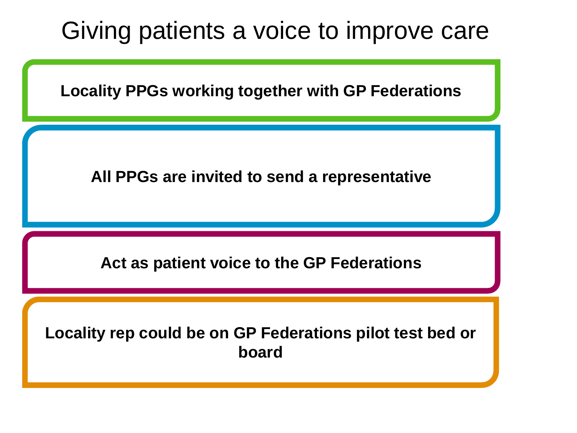

**Locality PPGs working together with GP Federations**

**All PPGs are invited to send a representative**

**Act as patient voice to the GP Federations**

**Locality rep could be on GP Federations pilot test bed or board**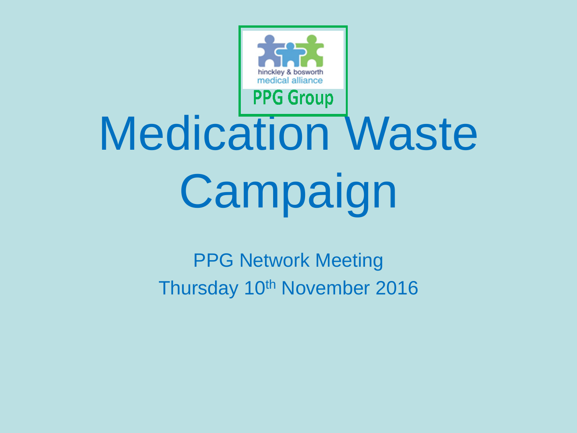

# Medication Waste **Campaign**

PPG Network Meeting Thursday 10<sup>th</sup> November 2016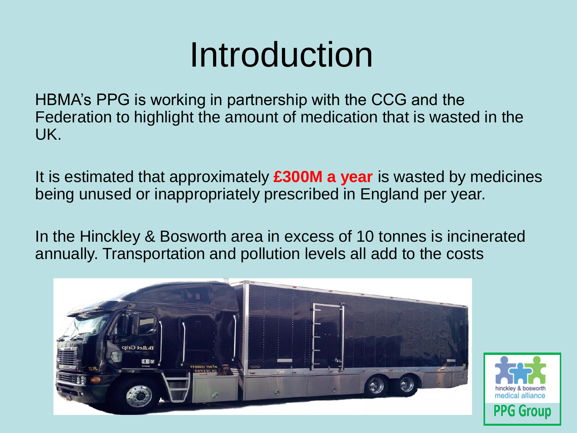# Introduction

HBMA's PPG is working in partnership with the CCG and the Federation to highlight the amount of medication that is wasted in the UK.

It is estimated that approximately **£300M a year** is wasted by medicines being unused or inappropriately prescribed in England per year.

In the Hinckley & Bosworth area in excess of 10 tonnes is incinerated annually. Transportation and pollution levels all add to the costs



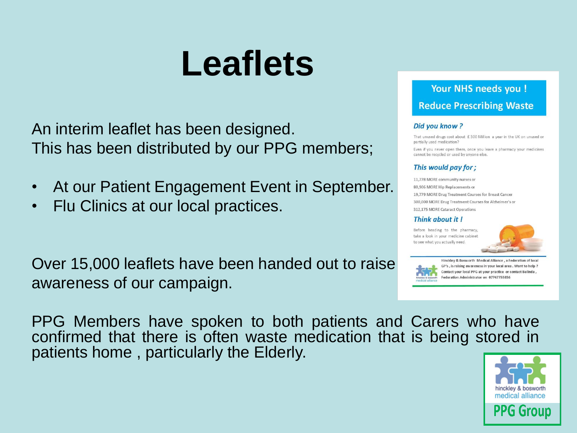# **Leaflets**

An interim leaflet has been designed. This has been distributed by our PPG members;

- At our Patient Engagement Event in September.
- Flu Clinics at our local practices.

Over 15,000 leaflets have been handed out to raise awareness of our campaign.

PPG Members have spoken to both patients and Carers who have confirmed that there is often waste medication that is being stored in patients home , particularly the Elderly.



**Your NHS needs you! Reduce Prescribing Waste** 

#### Did you know?

That unused drugs cost about £300 Million a year in the UK on unused or partially used medication?

Even if you never open them, once you leave a pharmacy your medicines cannot be recycled or used by anyone else.

#### This would pay for;

11,778 MORE community nurses or 80,906 MORE Hip Replacements or 19,779 MORE Drug Treatment Courses for Breast Cancer 300,000 MORE Drug Treatment Courses for Alzheimer's or 312,175 MORE Cataract Operations

#### Think about it !

Before heading to the pharmacy take a look in your medicine cabinet to see what you actually need.



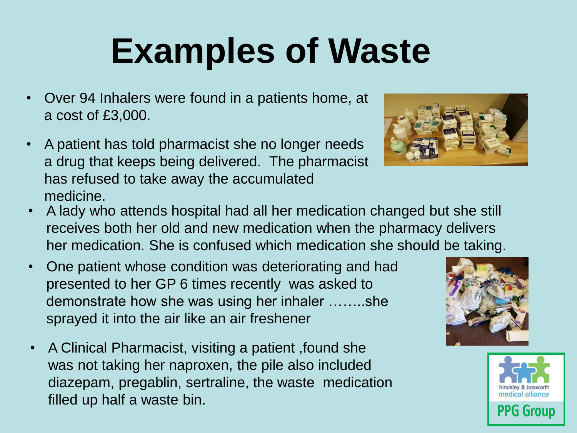# **Examples of Waste**

- Over 94 Inhalers were found in a patients home, at a cost of £3,000.
- A patient has told pharmacist she no longer needs a drug that keeps being delivered. The pharmacist has refused to take away the accumulated medicine.
- 
- A lady who attends hospital had all her medication changed but she still receives both her old and new medication when the pharmacy delivers her medication. She is confused which medication she should be taking.
- One patient whose condition was deteriorating and had presented to her GP 6 times recently was asked to demonstrate how she was using her inhaler ……..she sprayed it into the air like an air freshener
- A Clinical Pharmacist, visiting a patient ,found she was not taking her naproxen, the pile also included diazepam, pregablin, sertraline, the waste medication filled up half a waste bin.



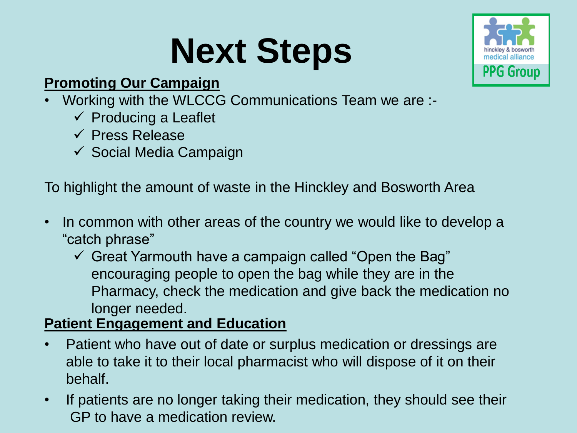# **Next Steps**



#### **Promoting Our Campaign**

- Working with the WLCCG Communications Team we are :-
	- $\checkmark$  Producing a Leaflet
	- $\checkmark$  Press Release
	- $\checkmark$  Social Media Campaign

To highlight the amount of waste in the Hinckley and Bosworth Area

- In common with other areas of the country we would like to develop a "catch phrase"
	- $\checkmark$  Great Yarmouth have a campaign called "Open the Bag" encouraging people to open the bag while they are in the Pharmacy, check the medication and give back the medication no longer needed.

#### **Patient Engagement and Education**

- Patient who have out of date or surplus medication or dressings are able to take it to their local pharmacist who will dispose of it on their behalf.
- If patients are no longer taking their medication, they should see their GP to have a medication review.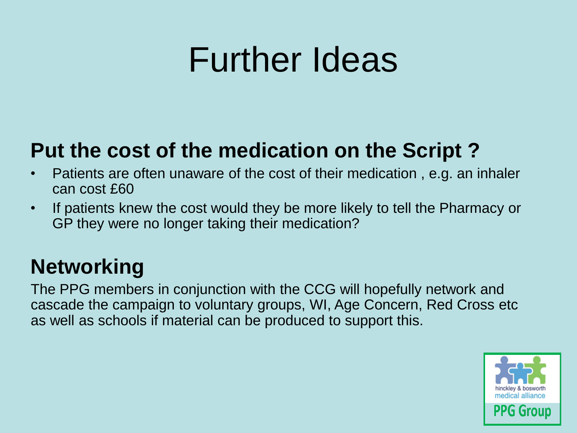### Further Ideas

### **Put the cost of the medication on the Script ?**

- Patients are often unaware of the cost of their medication , e.g. an inhaler can cost £60
- If patients knew the cost would they be more likely to tell the Pharmacy or GP they were no longer taking their medication?

### **Networking**

The PPG members in conjunction with the CCG will hopefully network and cascade the campaign to voluntary groups, WI, Age Concern, Red Cross etc as well as schools if material can be produced to support this.

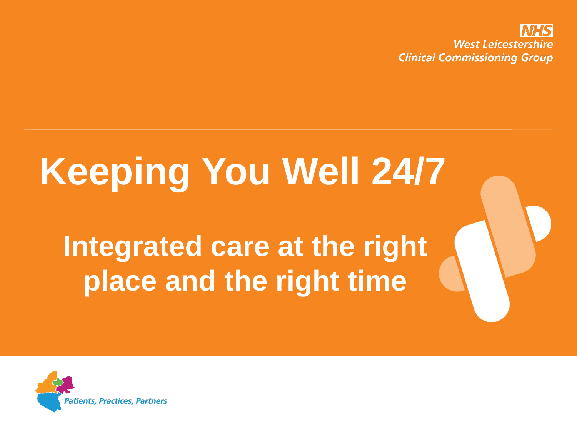

# **Keeping You Well 24/7**

**Integrated care at the right place and the right time**

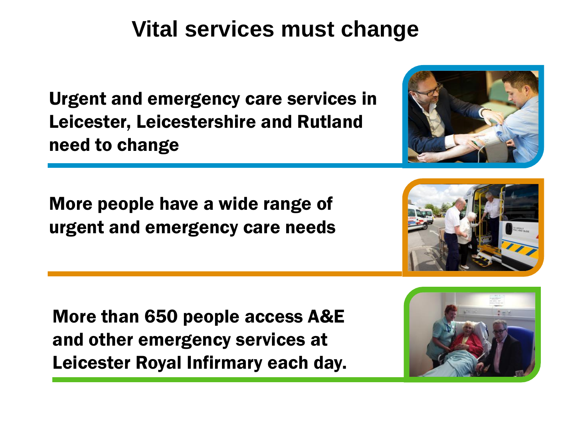### **Vital services must change**

Urgent and emergency care services in Leicester, Leicestershire and Rutland need to change

More people have a wide range of urgent and emergency care needs

More than 650 people access A&E and other emergency services at Leicester Royal Infirmary each day.





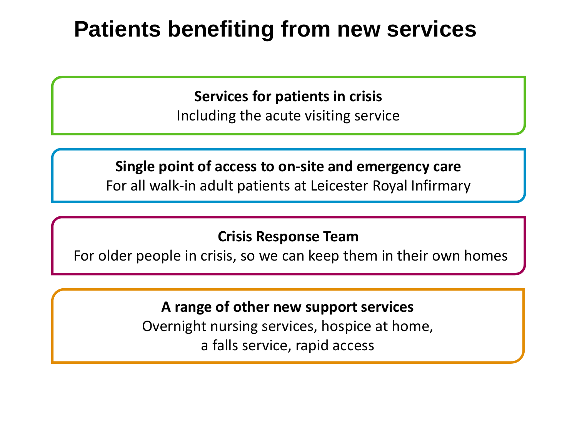### **Patients benefiting from new services**

**Services for patients in crisis** Including the acute visiting service

**Single point of access to on-site and emergency care** For all walk-in adult patients at Leicester Royal Infirmary

#### **Crisis Response Team**

For older people in crisis, so we can keep them in their own homes

**A range of other new support services**  Overnight nursing services, hospice at home, a falls service, rapid access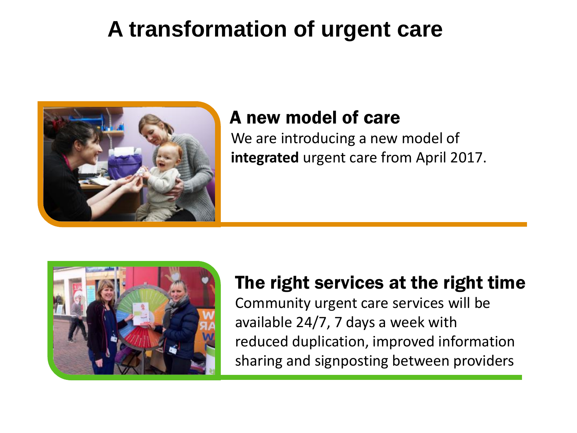### **A transformation of urgent care**



#### A new model of care

We are introducing a new model of **integrated** urgent care from April 2017.



#### The right services at the right time

Community urgent care services will be available 24/7, 7 days a week with reduced duplication, improved information sharing and signposting between providers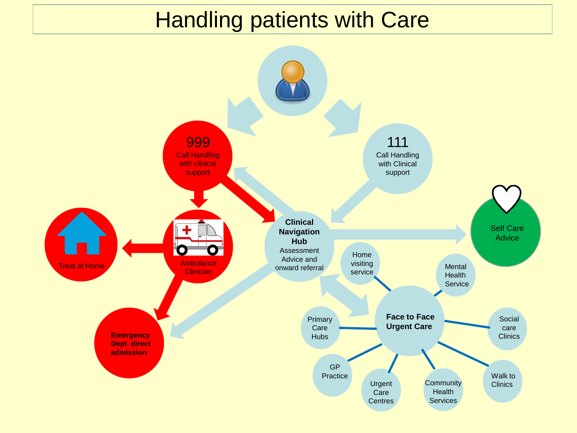### Handling patients with Care

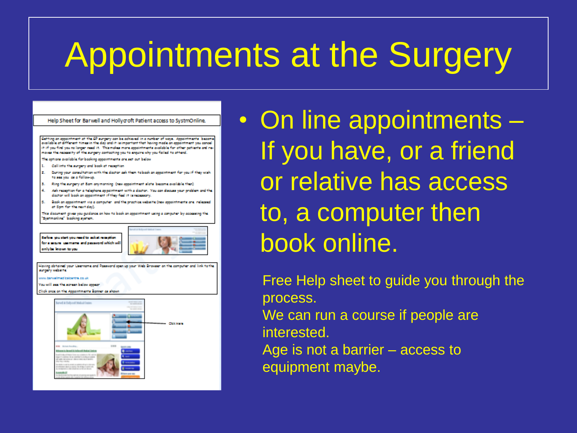# Appointments at the Surgery



• On line appointments – If you have, or a friend or relative has access to, a computer then book online.

Free Help sheet to guide you through the process.

We can run a course if people are interested.

Age is not a barrier – access to equipment maybe.